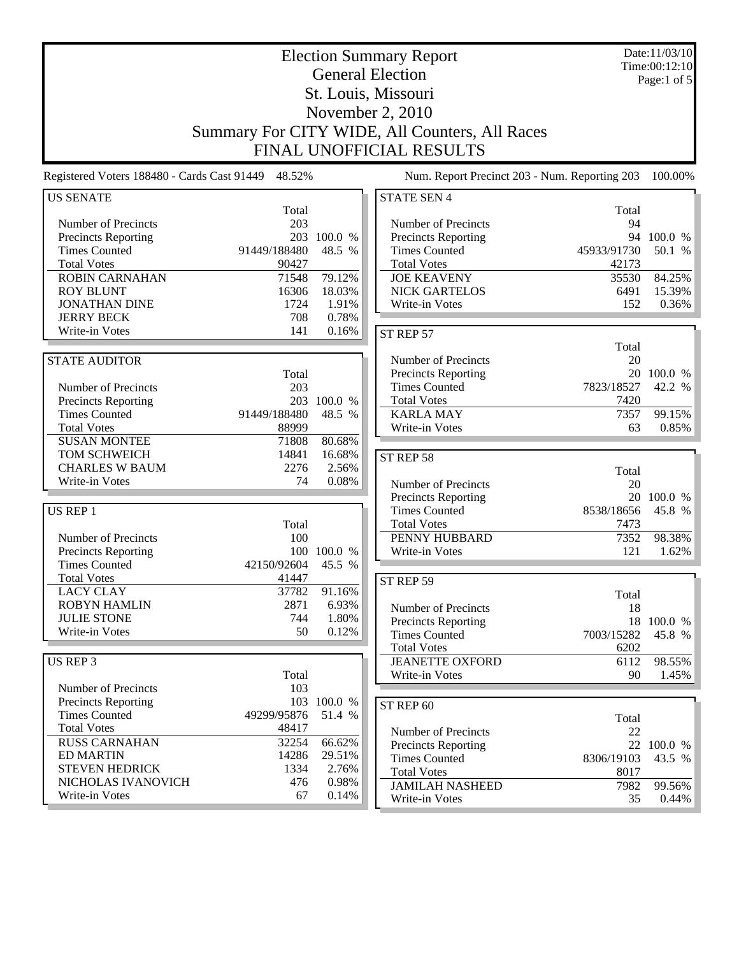| <b>Election Summary Report</b><br><b>General Election</b> |                                                |                |                                               |             | Date:11/03/10<br>Time:00:12:10 |  |  |
|-----------------------------------------------------------|------------------------------------------------|----------------|-----------------------------------------------|-------------|--------------------------------|--|--|
|                                                           |                                                |                |                                               |             | Page:1 of 5                    |  |  |
| St. Louis, Missouri                                       |                                                |                |                                               |             |                                |  |  |
| November 2, 2010                                          |                                                |                |                                               |             |                                |  |  |
|                                                           | Summary For CITY WIDE, All Counters, All Races |                |                                               |             |                                |  |  |
|                                                           |                                                |                | FINAL UNOFFICIAL RESULTS                      |             |                                |  |  |
| Registered Voters 188480 - Cards Cast 91449 48.52%        |                                                |                | Num. Report Precinct 203 - Num. Reporting 203 |             | 100.00%                        |  |  |
| <b>US SENATE</b>                                          |                                                |                | <b>STATE SEN 4</b>                            |             |                                |  |  |
|                                                           | Total                                          |                |                                               | Total       |                                |  |  |
| Number of Precincts                                       | 203                                            |                | Number of Precincts                           | 94          |                                |  |  |
| Precincts Reporting                                       |                                                | 203 100.0 %    | Precincts Reporting                           |             | 94 100.0 %                     |  |  |
| <b>Times Counted</b>                                      | 91449/188480                                   | 48.5 %         | <b>Times Counted</b>                          | 45933/91730 | 50.1 %                         |  |  |
| <b>Total Votes</b>                                        | 90427                                          |                | <b>Total Votes</b>                            | 42173       |                                |  |  |
| <b>ROBIN CARNAHAN</b>                                     | 71548                                          | 79.12%         | <b>JOE KEAVENY</b>                            | 35530       | 84.25%                         |  |  |
| <b>ROY BLUNT</b>                                          | 16306                                          | 18.03%         | <b>NICK GARTELOS</b>                          | 6491        | 15.39%                         |  |  |
| <b>JONATHAN DINE</b>                                      | 1724                                           | 1.91%          | Write-in Votes                                | 152         | 0.36%                          |  |  |
| <b>JERRY BECK</b><br>Write-in Votes                       | 708<br>141                                     | 0.78%<br>0.16% |                                               |             |                                |  |  |
|                                                           |                                                |                | ST REP 57                                     |             |                                |  |  |
| <b>STATE AUDITOR</b>                                      |                                                |                | Number of Precincts                           | Total<br>20 |                                |  |  |
|                                                           | Total                                          |                | Precincts Reporting                           |             | 20 100.0 %                     |  |  |
| Number of Precincts                                       | 203                                            |                | <b>Times Counted</b>                          | 7823/18527  | 42.2 %                         |  |  |
| Precincts Reporting                                       |                                                | 203 100.0 %    | <b>Total Votes</b>                            | 7420        |                                |  |  |
| <b>Times Counted</b>                                      | 91449/188480                                   | 48.5 %         | <b>KARLA MAY</b>                              | 7357        | 99.15%                         |  |  |
| <b>Total Votes</b>                                        | 88999                                          |                | Write-in Votes                                | 63          | 0.85%                          |  |  |
| <b>SUSAN MONTEE</b>                                       | 71808                                          | 80.68%         |                                               |             |                                |  |  |
| TOM SCHWEICH                                              | 14841                                          | 16.68%         | ST REP 58                                     |             |                                |  |  |
| <b>CHARLES W BAUM</b>                                     | 2276                                           | 2.56%          |                                               | Total       |                                |  |  |
| Write-in Votes                                            | 74                                             | 0.08%          | Number of Precincts                           | 20          |                                |  |  |
|                                                           |                                                |                | <b>Precincts Reporting</b>                    |             | 20 100.0 %                     |  |  |
| US REP 1                                                  |                                                |                | <b>Times Counted</b>                          | 8538/18656  | 45.8 %                         |  |  |
|                                                           | Total                                          |                | <b>Total Votes</b>                            | 7473        |                                |  |  |
| Number of Precincts                                       | 100                                            |                | PENNY HUBBARD                                 | 7352        | 98.38%                         |  |  |
| <b>Precincts Reporting</b>                                |                                                | 100 100.0 %    | Write-in Votes                                | 121         | 1.62%                          |  |  |
| <b>Times Counted</b>                                      | 42150/92604                                    | 45.5 %         |                                               |             |                                |  |  |
| <b>Total Votes</b>                                        | 41447                                          |                | ST REP 59                                     |             |                                |  |  |
| <b>LACY CLAY</b>                                          | 37782                                          | 91.16%         |                                               | Total       |                                |  |  |
| <b>ROBYN HAMLIN</b>                                       | 2871                                           | 6.93%          | Number of Precincts                           | 18          |                                |  |  |
| <b>JULIE STONE</b><br>Write-in Votes                      | 744<br>50                                      | 1.80%          | <b>Precincts Reporting</b>                    |             | 18 100.0 %                     |  |  |
|                                                           |                                                | 0.12%          | <b>Times Counted</b>                          | 7003/15282  | 45.8 %                         |  |  |
|                                                           |                                                |                | <b>Total Votes</b>                            | 6202        |                                |  |  |
| <b>US REP 3</b>                                           |                                                |                | <b>JEANETTE OXFORD</b>                        | 6112        | 98.55%                         |  |  |
| Number of Precincts                                       | Total<br>103                                   |                | Write-in Votes                                | 90          | 1.45%                          |  |  |
| <b>Precincts Reporting</b>                                |                                                | 103 100.0 %    |                                               |             |                                |  |  |
| <b>Times Counted</b>                                      | 49299/95876                                    | 51.4 %         | ST REP 60                                     |             |                                |  |  |
| <b>Total Votes</b>                                        | 48417                                          |                | Number of Precincts                           | Total       |                                |  |  |
| <b>RUSS CARNAHAN</b>                                      | 32254                                          | 66.62%         | <b>Precincts Reporting</b>                    | 22          | 22 100.0 %                     |  |  |
| <b>ED MARTIN</b>                                          | 14286                                          | 29.51%         | <b>Times Counted</b>                          | 8306/19103  | 43.5 %                         |  |  |
| <b>STEVEN HEDRICK</b>                                     | 1334                                           | 2.76%          | <b>Total Votes</b>                            | 8017        |                                |  |  |
| NICHOLAS IVANOVICH                                        | 476                                            | 0.98%          | <b>JAMILAH NASHEED</b>                        | 7982        | 99.56%                         |  |  |
| Write-in Votes                                            | 67                                             | 0.14%          | Write-in Votes                                | 35          | $0.44\%$                       |  |  |

Write-in Votes 35 0.44%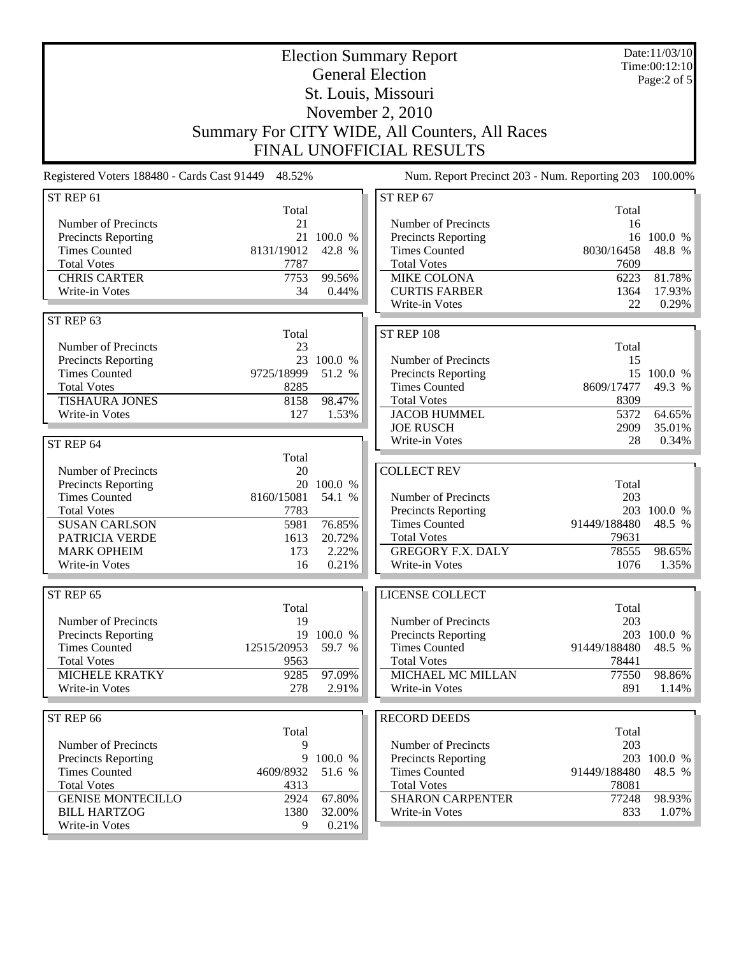| <b>Election Summary Report</b>                     |                    |            |                                                | Date:11/03/10<br>Time:00:12:10 |             |
|----------------------------------------------------|--------------------|------------|------------------------------------------------|--------------------------------|-------------|
| <b>General Election</b>                            |                    |            |                                                | Page: $2$ of $5$               |             |
| St. Louis, Missouri                                |                    |            |                                                |                                |             |
|                                                    |                    |            | November 2, 2010                               |                                |             |
|                                                    |                    |            | Summary For CITY WIDE, All Counters, All Races |                                |             |
|                                                    |                    |            | FINAL UNOFFICIAL RESULTS                       |                                |             |
|                                                    |                    |            |                                                |                                |             |
| Registered Voters 188480 - Cards Cast 91449 48.52% |                    |            | Num. Report Precinct 203 - Num. Reporting 203  |                                | 100.00%     |
| ST REP 61                                          | Total              |            | ST REP 67                                      | Total                          |             |
| Number of Precincts                                | 21                 |            | Number of Precincts                            | 16                             |             |
| <b>Precincts Reporting</b>                         | 21                 | 100.0 %    | Precincts Reporting                            | 16                             | 100.0 %     |
| <b>Times Counted</b>                               | 8131/19012         | 42.8 %     | <b>Times Counted</b>                           | 8030/16458                     | 48.8 %      |
| <b>Total Votes</b>                                 | 7787               |            | <b>Total Votes</b>                             | 7609                           |             |
| <b>CHRIS CARTER</b>                                | 7753               | 99.56%     | <b>MIKE COLONA</b>                             | 6223                           | 81.78%      |
| Write-in Votes                                     | 34                 | 0.44%      | <b>CURTIS FARBER</b>                           | 1364                           | 17.93%      |
|                                                    |                    |            | Write-in Votes                                 | 22                             | 0.29%       |
| ST REP 63                                          |                    |            |                                                |                                |             |
| Number of Precincts                                | Total<br>23        |            | <b>ST REP 108</b>                              | Total                          |             |
| Precincts Reporting                                |                    | 23 100.0 % | Number of Precincts                            | 15                             |             |
| <b>Times Counted</b>                               | 9725/18999         | 51.2 %     | Precincts Reporting                            | 15                             | 100.0 %     |
| <b>Total Votes</b>                                 | 8285               |            | <b>Times Counted</b>                           | 8609/17477                     | 49.3 %      |
| <b>TISHAURA JONES</b>                              | 8158               | 98.47%     | <b>Total Votes</b>                             | 8309                           |             |
| Write-in Votes                                     | 127                | 1.53%      | <b>JACOB HUMMEL</b>                            | 5372                           | 64.65%      |
|                                                    |                    |            | <b>JOE RUSCH</b>                               | 2909                           | 35.01%      |
| ST REP 64                                          |                    |            | Write-in Votes                                 | 28                             | 0.34%       |
|                                                    | Total              |            |                                                |                                |             |
| Number of Precincts                                | 20                 |            | <b>COLLECT REV</b>                             |                                |             |
| Precincts Reporting                                |                    | 20 100.0 % |                                                | Total                          |             |
| <b>Times Counted</b><br><b>Total Votes</b>         | 8160/15081<br>7783 | 54.1 %     | Number of Precincts<br>Precincts Reporting     | 203                            | 203 100.0 % |
| <b>SUSAN CARLSON</b>                               | 5981               | 76.85%     | <b>Times Counted</b>                           | 91449/188480                   | 48.5 %      |
| PATRICIA VERDE                                     | 1613               | 20.72%     | <b>Total Votes</b>                             | 79631                          |             |
| <b>MARK OPHEIM</b>                                 | 173                | 2.22%      | <b>GREGORY F.X. DALY</b>                       | 78555                          | 98.65%      |
| Write-in Votes                                     | 16                 | 0.21%      | Write-in Votes                                 | 1076                           | 1.35%       |
|                                                    |                    |            |                                                |                                |             |
| ST REP 65                                          |                    |            | LICENSE COLLECT                                |                                |             |
| Number of Precincts                                | Total<br>19        |            | Number of Precincts                            | Total<br>203                   |             |
| Precincts Reporting                                | 19                 | 100.0 %    | Precincts Reporting                            |                                | 203 100.0 % |
| <b>Times Counted</b>                               | 12515/20953        | 59.7 %     | <b>Times Counted</b>                           | 91449/188480                   | 48.5 %      |
| <b>Total Votes</b>                                 | 9563               |            | <b>Total Votes</b>                             | 78441                          |             |
| <b>MICHELE KRATKY</b>                              | 9285               | 97.09%     | MICHAEL MC MILLAN                              | 77550                          | 98.86%      |
| Write-in Votes                                     | 278                | 2.91%      | Write-in Votes                                 | 891                            | 1.14%       |
|                                                    |                    |            |                                                |                                |             |
| ST REP 66                                          | Total              |            | <b>RECORD DEEDS</b>                            | Total                          |             |
| Number of Precincts                                | 9                  |            | Number of Precincts                            | 203                            |             |
| Precincts Reporting                                | 9                  | 100.0 %    | Precincts Reporting                            |                                | 203 100.0 % |
| <b>Times Counted</b>                               | 4609/8932          | 51.6 %     | <b>Times Counted</b>                           | 91449/188480                   | 48.5 %      |
| <b>Total Votes</b>                                 | 4313               |            | <b>Total Votes</b>                             | 78081                          |             |
| <b>GENISE MONTECILLO</b>                           | 2924               | 67.80%     | <b>SHARON CARPENTER</b>                        | 77248                          | 98.93%      |
| <b>BILL HARTZOG</b>                                | 1380               | 32.00%     | Write-in Votes                                 | 833                            | $1.07\%$    |
| Write-in Votes                                     | 9                  | 0.21%      |                                                |                                |             |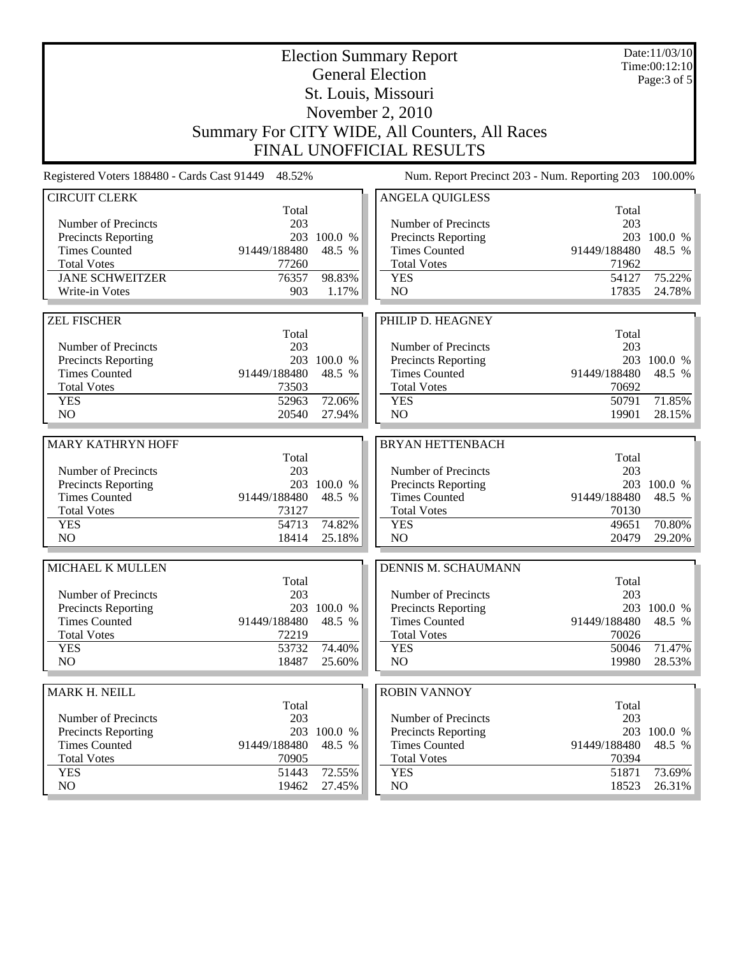| <b>Election Summary Report</b><br><b>General Election</b> |                       |                  |                                                | Date:11/03/10<br>Time:00:12:10 |                  |
|-----------------------------------------------------------|-----------------------|------------------|------------------------------------------------|--------------------------------|------------------|
| St. Louis, Missouri                                       |                       |                  |                                                | Page: $3$ of $5$               |                  |
| November 2, 2010                                          |                       |                  |                                                |                                |                  |
|                                                           |                       |                  | Summary For CITY WIDE, All Counters, All Races |                                |                  |
|                                                           |                       |                  | <b>FINAL UNOFFICIAL RESULTS</b>                |                                |                  |
|                                                           |                       |                  |                                                |                                |                  |
| Registered Voters 188480 - Cards Cast 91449 48.52%        |                       |                  | Num. Report Precinct 203 - Num. Reporting 203  |                                | 100.00%          |
| <b>CIRCUIT CLERK</b>                                      | Total                 |                  | <b>ANGELA QUIGLESS</b>                         | Total                          |                  |
| Number of Precincts                                       | 203                   |                  | Number of Precincts                            | 203                            |                  |
| <b>Precincts Reporting</b>                                |                       | 203 100.0 %      | <b>Precincts Reporting</b>                     |                                | 203 100.0 %      |
| <b>Times Counted</b>                                      | 91449/188480          | 48.5 %           | <b>Times Counted</b>                           | 91449/188480                   | 48.5 %           |
| <b>Total Votes</b>                                        | 77260                 |                  | <b>Total Votes</b>                             | 71962                          |                  |
| <b>JANE SCHWEITZER</b>                                    | 76357                 | 98.83%           | <b>YES</b><br>N <sub>O</sub>                   | 54127                          | 75.22%<br>24.78% |
| Write-in Votes                                            | 903                   | 1.17%            |                                                | 17835                          |                  |
| <b>ZEL FISCHER</b>                                        |                       |                  | PHILIP D. HEAGNEY                              |                                |                  |
|                                                           | Total                 |                  |                                                | Total                          |                  |
| Number of Precincts                                       | 203                   |                  | Number of Precincts                            | 203                            |                  |
| Precincts Reporting                                       |                       | 203 100.0 %      | Precincts Reporting                            |                                | 203 100.0 %      |
| <b>Times Counted</b>                                      | 91449/188480          | 48.5 %           | <b>Times Counted</b>                           | 91449/188480                   | 48.5 %           |
| <b>Total Votes</b>                                        | 73503                 |                  | <b>Total Votes</b>                             | 70692                          |                  |
| <b>YES</b><br>NO                                          | 52963<br>20540        | 72.06%<br>27.94% | <b>YES</b><br>NO                               | 50791<br>19901                 | 71.85%<br>28.15% |
|                                                           |                       |                  |                                                |                                |                  |
| <b>MARY KATHRYN HOFF</b>                                  |                       |                  | <b>BRYAN HETTENBACH</b>                        |                                |                  |
|                                                           | Total                 |                  |                                                | Total                          |                  |
| Number of Precincts                                       | 203                   |                  | Number of Precincts                            | 203                            |                  |
| Precincts Reporting                                       |                       | 203 100.0 %      | <b>Precincts Reporting</b>                     |                                | 203 100.0 %      |
| <b>Times Counted</b><br><b>Total Votes</b>                | 91449/188480<br>73127 | 48.5 %           | <b>Times Counted</b><br><b>Total Votes</b>     | 91449/188480<br>70130          | 48.5 %           |
| <b>YES</b>                                                | 54713                 | 74.82%           | <b>YES</b>                                     | 49651                          | 70.80%           |
| N <sub>O</sub>                                            | 18414                 | 25.18%           | NO                                             | 20479                          | 29.20%           |
|                                                           |                       |                  |                                                |                                |                  |
| MICHAEL K MULLEN                                          | Total                 |                  | DENNIS M. SCHAUMANN                            | Total                          |                  |
| Number of Precincts                                       | 203                   |                  | Number of Precincts                            | 203                            |                  |
| Precincts Reporting                                       |                       | 203 100.0 %      | <b>Precincts Reporting</b>                     |                                | 203 100.0 %      |
| <b>Times Counted</b>                                      | 91449/188480          | 48.5 %           | <b>Times Counted</b>                           | 91449/188480                   | 48.5 %           |
| <b>Total Votes</b>                                        | 72219                 |                  | <b>Total Votes</b>                             | 70026                          |                  |
| <b>YES</b>                                                | 53732                 | 74.40%           | <b>YES</b>                                     | 50046                          | 71.47%           |
| NO                                                        | 18487                 | 25.60%           | NO.                                            | 19980                          | 28.53%           |
| MARK H. NEILL                                             |                       |                  | <b>ROBIN VANNOY</b>                            |                                |                  |
|                                                           | Total                 |                  |                                                | Total                          |                  |
| Number of Precincts                                       | 203                   |                  | Number of Precincts                            | 203                            |                  |
| <b>Precincts Reporting</b>                                | 203                   | 100.0 %          | <b>Precincts Reporting</b>                     | 203                            | 100.0 %          |
| <b>Times Counted</b>                                      | 91449/188480          | 48.5 %           | <b>Times Counted</b>                           | 91449/188480                   | 48.5 %           |
| <b>Total Votes</b>                                        | 70905                 |                  | <b>Total Votes</b>                             | 70394                          |                  |
| <b>YES</b><br>NO                                          | 51443                 | 72.55%           | <b>YES</b>                                     | 51871                          | 73.69%           |
|                                                           | 19462                 | 27.45%           | NO                                             | 18523                          | 26.31%           |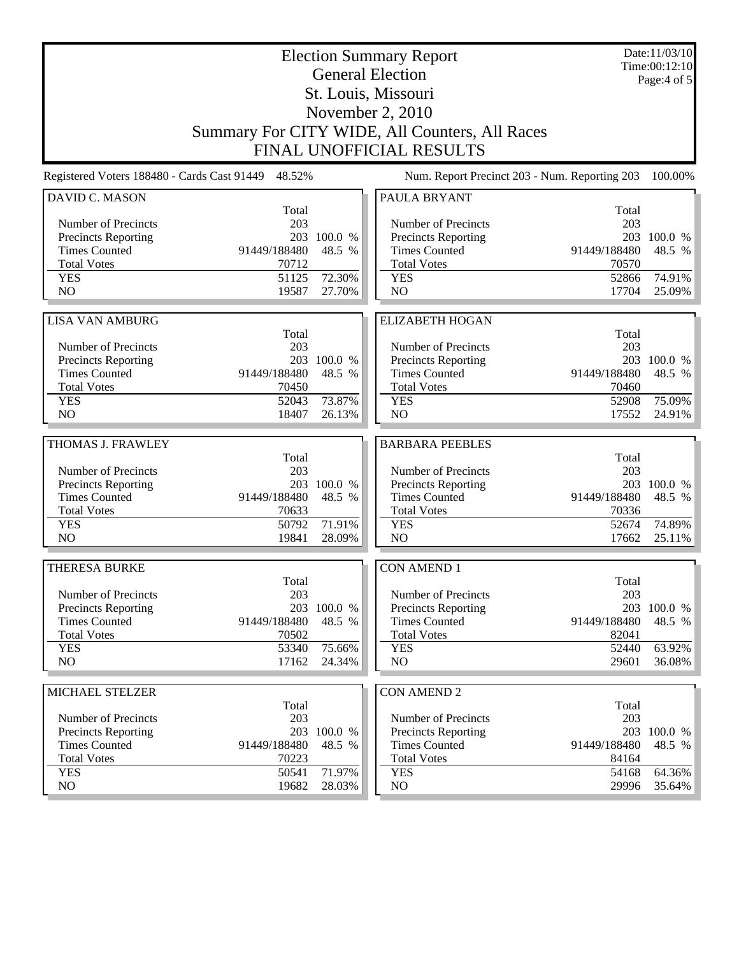| <b>Election Summary Report</b><br><b>General Election</b> |                                                    |             | Date:11/03/10<br>Time:00:12:10<br>Page:4 of 5  |              |             |
|-----------------------------------------------------------|----------------------------------------------------|-------------|------------------------------------------------|--------------|-------------|
| St. Louis, Missouri                                       |                                                    |             |                                                |              |             |
| November 2, 2010                                          |                                                    |             |                                                |              |             |
|                                                           |                                                    |             | Summary For CITY WIDE, All Counters, All Races |              |             |
|                                                           |                                                    |             | <b>FINAL UNOFFICIAL RESULTS</b>                |              |             |
|                                                           | Registered Voters 188480 - Cards Cast 91449 48.52% |             | Num. Report Precinct 203 - Num. Reporting 203  |              | 100.00%     |
| <b>DAVID C. MASON</b>                                     | Total                                              |             | PAULA BRYANT                                   | Total        |             |
| Number of Precincts                                       | 203                                                |             | Number of Precincts                            | 203          |             |
| <b>Precincts Reporting</b>                                |                                                    | 203 100.0 % | <b>Precincts Reporting</b>                     |              | 203 100.0 % |
| <b>Times Counted</b>                                      | 91449/188480                                       | 48.5 %      | <b>Times Counted</b>                           | 91449/188480 | 48.5 %      |
| <b>Total Votes</b>                                        | 70712                                              |             | <b>Total Votes</b>                             | 70570        |             |
| <b>YES</b>                                                | 51125                                              | 72.30%      | <b>YES</b>                                     | 52866        | 74.91%      |
| NO                                                        | 19587                                              | 27.70%      | N <sub>O</sub>                                 | 17704        | 25.09%      |
|                                                           |                                                    |             |                                                |              |             |
| <b>LISA VAN AMBURG</b>                                    | Total                                              |             | <b>ELIZABETH HOGAN</b>                         | Total        |             |
| Number of Precincts                                       | 203                                                |             | Number of Precincts                            | 203          |             |
| Precincts Reporting                                       |                                                    | 203 100.0 % | Precincts Reporting                            |              | 203 100.0 % |
| <b>Times Counted</b>                                      | 91449/188480                                       | 48.5 %      | <b>Times Counted</b>                           | 91449/188480 | 48.5 %      |
| <b>Total Votes</b>                                        | 70450                                              |             | <b>Total Votes</b>                             | 70460        |             |
| <b>YES</b>                                                | 52043                                              | 73.87%      | <b>YES</b>                                     | 52908        | 75.09%      |
| NO                                                        | 18407                                              | 26.13%      | NO                                             | 17552        | 24.91%      |
|                                                           |                                                    |             |                                                |              |             |
| THOMAS J. FRAWLEY                                         |                                                    |             | <b>BARBARA PEEBLES</b>                         |              |             |
| Number of Precincts                                       | Total<br>203                                       |             | Number of Precincts                            | Total<br>203 |             |
| Precincts Reporting                                       |                                                    | 203 100.0 % | Precincts Reporting                            |              | 203 100.0 % |
| <b>Times Counted</b>                                      | 91449/188480                                       | 48.5 %      | <b>Times Counted</b>                           | 91449/188480 | 48.5 %      |
| <b>Total Votes</b>                                        | 70633                                              |             | <b>Total Votes</b>                             | 70336        |             |
| <b>YES</b>                                                | 50792                                              | 71.91%      | <b>YES</b>                                     | 52674        | 74.89%      |
| NO                                                        | 19841                                              | 28.09%      | NO                                             | 17662        | 25.11%      |
| <b>THERESA BURKE</b>                                      |                                                    |             | <b>CON AMEND 1</b>                             |              |             |
|                                                           | Total                                              |             |                                                | Total        |             |
| Number of Precincts                                       | 203                                                |             | Number of Precincts                            | 203          |             |
| Precincts Reporting                                       |                                                    | 203 100.0 % | <b>Precincts Reporting</b>                     |              | 203 100.0 % |
| <b>Times Counted</b>                                      | 91449/188480                                       | 48.5 %      | <b>Times Counted</b>                           | 91449/188480 | 48.5 %      |
| <b>Total Votes</b>                                        | 70502                                              |             | <b>Total Votes</b>                             | 82041        |             |
| <b>YES</b>                                                | 53340                                              | 75.66%      | <b>YES</b>                                     | 52440        | 63.92%      |
| NO                                                        | 17162                                              | 24.34%      | NO                                             | 29601        | 36.08%      |
| MICHAEL STELZER                                           |                                                    |             | <b>CON AMEND 2</b>                             |              |             |
|                                                           | Total                                              |             |                                                | Total        |             |
| Number of Precincts                                       | 203                                                |             | Number of Precincts                            | 203          |             |
| <b>Precincts Reporting</b>                                |                                                    | 203 100.0 % | <b>Precincts Reporting</b>                     |              | 203 100.0 % |
| <b>Times Counted</b>                                      | 91449/188480                                       | 48.5 %      | <b>Times Counted</b>                           | 91449/188480 | 48.5 %      |
| <b>Total Votes</b>                                        | 70223                                              |             | <b>Total Votes</b>                             | 84164        |             |
| <b>YES</b>                                                | 50541                                              | 71.97%      | <b>YES</b>                                     | 54168        | 64.36%      |
| NO                                                        | 19682                                              | 28.03%      | NO                                             | 29996        | 35.64%      |